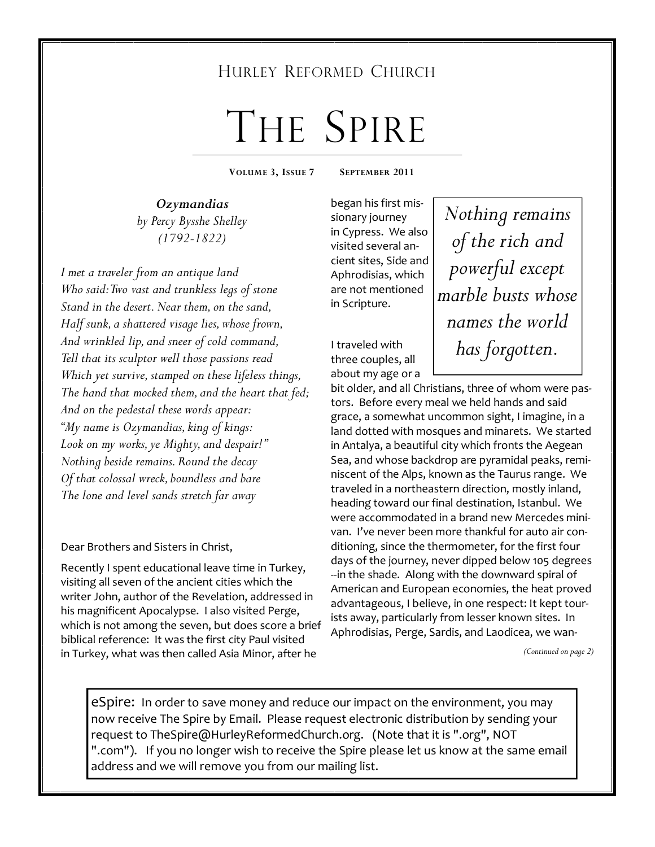### HURLEY REFORMED CHURCH

# THE SPIRE

**VOLUME 3, ISSUE 7 SEPTEMBER 2011** 

*Ozymandias by Percy Bysshe Shelley (1792-1822)* 

*I met a traveler from an antique land Who said: Two vast and trunkless legs of stone Stand in the desert. Near them, on the sand, Half sunk, a shattered visage lies, whose frown, And wrinkled lip, and sneer of cold command, Tell that its sculptor well those passions read Which yet survive, stamped on these lifeless things, The hand that mocked them, and the heart that fed; And on the pedestal these words appear: "My name is Ozymandias, king of kings: Look on my works, ye Mighty, and despair!" Nothing beside remains. Round the decay Of that colossal wreck, boundless and bare The lone and level sands stretch far away* 

Dear Brothers and Sisters in Christ,

Recently I spent educational leave time in Turkey, visiting all seven of the ancient cities which the writer John, author of the Revelation, addressed in his magnificent Apocalypse. I also visited Perge, which is not among the seven, but does score a brief biblical reference: It was the first city Paul visited in Turkey, what was then called Asia Minor, after he

began his first missionary journey in Cypress. We also visited several ancient sites, Side and Aphrodisias, which are not mentioned in Scripture.

I traveled with three couples, all about my age or a

*Nothing remains of the rich and powerful except marble busts whose names the world has forgotten.* 

bit older, and all Christians, three of whom were pastors. Before every meal we held hands and said grace, a somewhat uncommon sight, I imagine, in a land dotted with mosques and minarets. We started in Antalya, a beautiful city which fronts the Aegean Sea, and whose backdrop are pyramidal peaks, reminiscent of the Alps, known as the Taurus range. We traveled in a northeastern direction, mostly inland, heading toward our final destination, Istanbul. We were accommodated in a brand new Mercedes minivan. I've never been more thankful for auto air conditioning, since the thermometer, for the first four days of the journey, never dipped below 105 degrees --in the shade. Along with the downward spiral of American and European economies, the heat proved advantageous, I believe, in one respect: It kept tourists away, particularly from lesser known sites. In Aphrodisias, Perge, Sardis, and Laodicea, we wan-

*(Continued on page 2)* 

eSpire: In order to save money and reduce our impact on the environment, you may now receive The Spire by Email. Please request electronic distribution by sending your request to TheSpire@HurleyReformedChurch.org. (Note that it is ".org", NOT ".com"). If you no longer wish to receive the Spire please let us know at the same email address and we will remove you from our mailing list.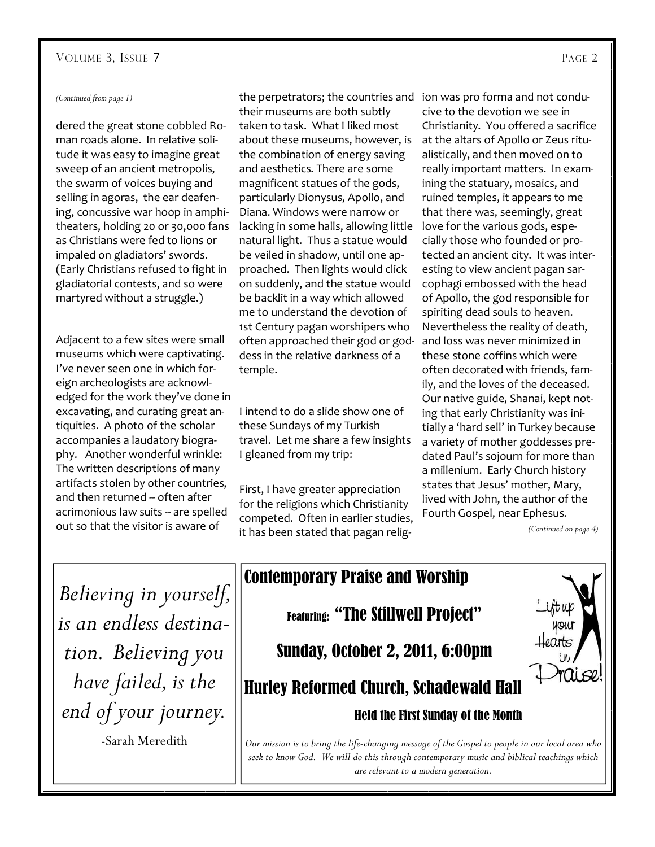#### VOLUME 3, ISSUE 7 PAGE 2

#### *(Continued from page 1)*

dered the great stone cobbled Roman roads alone. In relative solitude it was easy to imagine great sweep of an ancient metropolis, the swarm of voices buying and selling in agoras, the ear deafening, concussive war hoop in amphitheaters, holding 20 or 30,000 fans as Christians were fed to lions or impaled on gladiators' swords. (Early Christians refused to fight in gladiatorial contests, and so were martyred without a struggle.)

Adjacent to a few sites were small museums which were captivating. I've never seen one in which foreign archeologists are acknowledged for the work they've done in excavating, and curating great antiquities. A photo of the scholar accompanies a laudatory biography. Another wonderful wrinkle: The written descriptions of many artifacts stolen by other countries, and then returned -- often after acrimonious law suits -- are spelled out so that the visitor is aware of

the perpetrators; the countries and ion was pro forma and not condutheir museums are both subtly taken to task. What I liked most about these museums, however, is the combination of energy saving and aesthetics. There are some magnificent statues of the gods, particularly Dionysus, Apollo, and Diana. Windows were narrow or lacking in some halls, allowing little natural light. Thus a statue would be veiled in shadow, until one approached. Then lights would click on suddenly, and the statue would be backlit in a way which allowed me to understand the devotion of 1st Century pagan worshipers who often approached their god or goddess in the relative darkness of a temple.

#### I intend to do a slide show one of these Sundays of my Turkish travel. Let me share a few insights I gleaned from my trip:

First, I have greater appreciation for the religions which Christianity competed. Often in earlier studies, it has been stated that pagan religcive to the devotion we see in Christianity. You offered a sacrifice at the altars of Apollo or Zeus ritualistically, and then moved on to really important matters. In examining the statuary, mosaics, and ruined temples, it appears to me that there was, seemingly, great love for the various gods, especially those who founded or protected an ancient city. It was interesting to view ancient pagan sarcophagi embossed with the head of Apollo, the god responsible for spiriting dead souls to heaven. Nevertheless the reality of death, and loss was never minimized in these stone coffins which were often decorated with friends, family, and the loves of the deceased. Our native guide, Shanai, kept noting that early Christianity was initially a 'hard sell' in Turkey because a variety of mother goddesses predated Paul's sojourn for more than a millenium. Early Church history states that Jesus' mother, Mary, lived with John, the author of the Fourth Gospel, near Ephesus.

*(Continued on page 4)* 

*Believing in yourself, is an endless destination. Believing you have failed, is the end of your journey.* 

-Sarah Meredith

### Contemporary Praise and Worship Featuring: "The Stillwell Project" Sunday, October 2, 2011, 6:00pm Ai se Hurley Reformed Church, Schadewald Hall Held the First Sunday of the Month

*Our mission is to bring the life-changing message of the Gospel to people in our local area who seek to know God. We will do this through contemporary music and biblical teachings which are relevant to a modern generation.*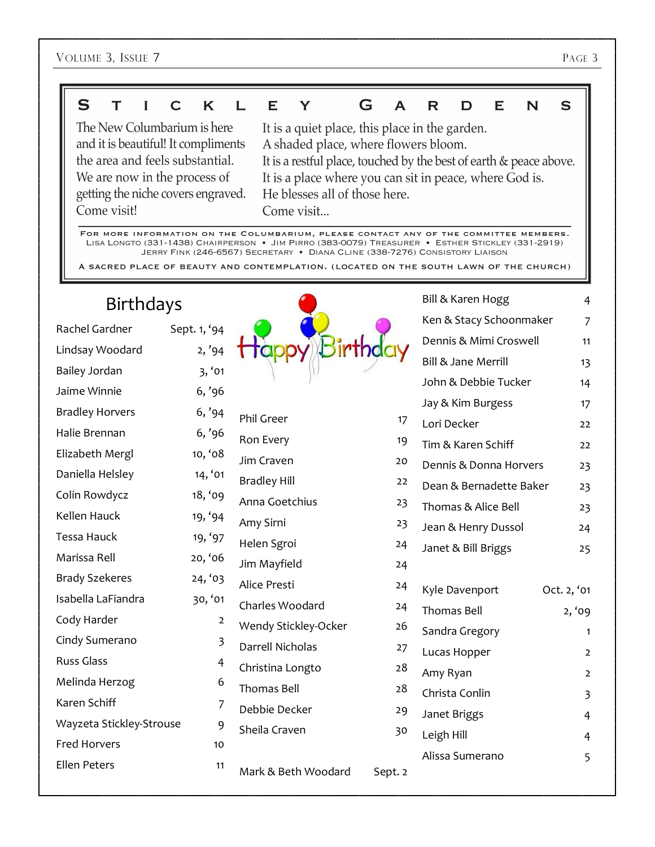#### S  $\mathbf T$  $\mathbf{I}$  $\mathsf{C}$ K  $\mathbf{L}$ E Y G  $\overline{\mathsf{A}}$  $\mathbf R$ D E N  $\mathbf S$

The New Columbarium is here and it is beautiful! It compliments the area and feels substantial. We are now in the process of getting the niche covers engraved. Come visit!

It is a quiet place, this place in the garden. A shaded place, where flowers bloom. It is a restful place, touched by the best of earth & peace above. It is a place where you can sit in peace, where God is. He blesses all of those here. Come visit...

FOR MORE INFORMATION ON THE COLUMBARIUM, PLEASE CONTACT ANY OF THE COMMITTEE MEMBERS. LISA LONGTO (331-1438) CHAIRPERSON . JIM PIRRO (383-0079) TREASURER . ESTHER STICKLEY (331-2919) JERRY FINK (246-6567) SECRETARY . DIANA CLINE (338-7276) CONSISTORY LIAISON

A SACRED PLACE OF BEAUTY AND CONTEMPLATION. (LOCATED ON THE SOUTH LAWN OF THE CHURCH)

| <b>Birthdays</b>         |                |                      |         | Bill & Karen Hogg       | $\overline{4}$ |
|--------------------------|----------------|----------------------|---------|-------------------------|----------------|
| Rachel Gardner           | Sept. 1, '94   |                      |         | Ken & Stacy Schoonmaker | 7              |
| Lindsay Woodard          | 2, '94         |                      |         | Dennis & Mimi Croswell  | 11             |
| Bailey Jordan            | 3, '01         |                      |         | Bill & Jane Merrill     | 13             |
| Jaime Winnie             | 6, '96         |                      |         | John & Debbie Tucker    | 14             |
| <b>Bradley Horvers</b>   | 6, '94         |                      |         | Jay & Kim Burgess       | 17             |
| Halie Brennan            |                | Phil Greer           | 17      | Lori Decker             | 22             |
|                          | 6, '96         | Ron Every            | 19      | Tim & Karen Schiff      | 22             |
| Elizabeth Mergl          | 10, '08        | Jim Craven           | 20      | Dennis & Donna Horvers  | 23             |
| Daniella Helsley         | 14, '01        | <b>Bradley Hill</b>  | 22      | Dean & Bernadette Baker | 23             |
| Colin Rowdycz            | 18, '09        | Anna Goetchius       | 23      | Thomas & Alice Bell     | 23             |
| Kellen Hauck             | 19, '94        | Amy Sirni            | 23      | Jean & Henry Dussol     | 24             |
| <b>Tessa Hauck</b>       | 19, '97        | Helen Sgroi          | 24      | Janet & Bill Briggs     | 25             |
| Marissa Rell             | 20, '06        | Jim Mayfield         | 24      |                         |                |
| <b>Brady Szekeres</b>    | 24, 93         | Alice Presti         | 24      | Kyle Davenport          | Oct. 2, '01    |
| Isabella LaFiandra       | 30, '01        | Charles Woodard      | 24      | Thomas Bell             | 2, '09         |
| Cody Harder              | $\overline{a}$ | Wendy Stickley-Ocker | 26      | Sandra Gregory          |                |
| Cindy Sumerano           | 3              | Darrell Nicholas     | 27      |                         | $\mathbf{1}$   |
| <b>Russ Glass</b>        | 4              | Christina Longto     | 28      | Lucas Hopper            | $\overline{2}$ |
| Melinda Herzog           | 6              | <b>Thomas Bell</b>   | 28      | Amy Ryan                | $\overline{2}$ |
| Karen Schiff             | 7              | Debbie Decker        | 29      | Christa Conlin          | 3              |
| Wayzeta Stickley-Strouse | 9              | Sheila Craven        | 30      | Janet Briggs            | 4              |
| <b>Fred Horvers</b>      | 10             |                      |         | Leigh Hill              | 4              |
| <b>Ellen Peters</b>      | 11             | Mark & Beth Woodard  | Sept. 2 | Alissa Sumerano         | 5              |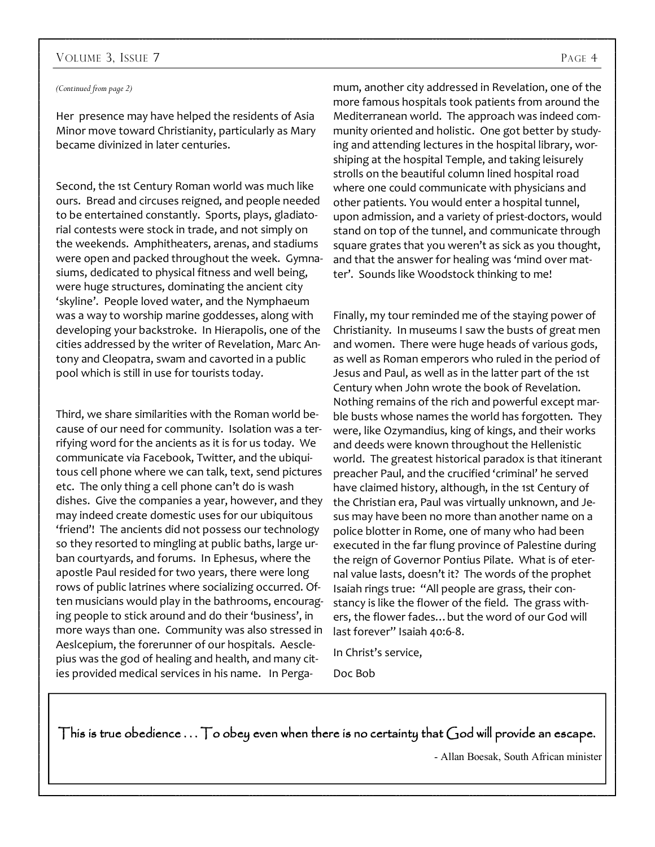#### VOLUME 3, ISSUE 7 PAGE 4

#### *(Continued from page 2)*

Her presence may have helped the residents of Asia Minor move toward Christianity, particularly as Mary became divinized in later centuries.

Second, the 1st Century Roman world was much like ours. Bread and circuses reigned, and people needed to be entertained constantly. Sports, plays, gladiatorial contests were stock in trade, and not simply on the weekends. Amphitheaters, arenas, and stadiums were open and packed throughout the week. Gymnasiums, dedicated to physical fitness and well being, were huge structures, dominating the ancient city 'skyline'. People loved water, and the Nymphaeum was a way to worship marine goddesses, along with developing your backstroke. In Hierapolis, one of the cities addressed by the writer of Revelation, Marc Antony and Cleopatra, swam and cavorted in a public pool which is still in use for tourists today.

Third, we share similarities with the Roman world because of our need for community. Isolation was a terrifying word for the ancients as it is for us today. We communicate via Facebook, Twitter, and the ubiquitous cell phone where we can talk, text, send pictures etc. The only thing a cell phone can't do is wash dishes. Give the companies a year, however, and they may indeed create domestic uses for our ubiquitous 'friend'! The ancients did not possess our technology so they resorted to mingling at public baths, large urban courtyards, and forums. In Ephesus, where the apostle Paul resided for two years, there were long rows of public latrines where socializing occurred. Often musicians would play in the bathrooms, encouraging people to stick around and do their 'business', in more ways than one. Community was also stressed in Aeslcepium, the forerunner of our hospitals. Aesclepius was the god of healing and health, and many cities provided medical services in his name. In Perga-

mum, another city addressed in Revelation, one of the more famous hospitals took patients from around the Mediterranean world. The approach was indeed community oriented and holistic. One got better by studying and attending lectures in the hospital library, worshiping at the hospital Temple, and taking leisurely strolls on the beautiful column lined hospital road where one could communicate with physicians and other patients. You would enter a hospital tunnel, upon admission, and a variety of priest-doctors, would stand on top of the tunnel, and communicate through square grates that you weren't as sick as you thought, and that the answer for healing was 'mind over matter'. Sounds like Woodstock thinking to me!

Finally, my tour reminded me of the staying power of Christianity. In museums I saw the busts of great men and women. There were huge heads of various gods, as well as Roman emperors who ruled in the period of Jesus and Paul, as well as in the latter part of the 1st Century when John wrote the book of Revelation. Nothing remains of the rich and powerful except marble busts whose names the world has forgotten. They were, like Ozymandius, king of kings, and their works and deeds were known throughout the Hellenistic world. The greatest historical paradox is that itinerant preacher Paul, and the crucified 'criminal' he served have claimed history, although, in the 1st Century of the Christian era, Paul was virtually unknown, and Jesus may have been no more than another name on a police blotter in Rome, one of many who had been executed in the far flung province of Palestine during the reign of Governor Pontius Pilate. What is of eternal value lasts, doesn't it? The words of the prophet Isaiah rings true: "All people are grass, their constancy is like the flower of the field. The grass withers, the flower fades…but the word of our God will last forever" Isaiah 40:6-8.

In Christ's service,

Doc Bob

This is true obedience  $\ldots$  To obey even when there is no certainty that God will provide an escape.

- Allan Boesak, South African minister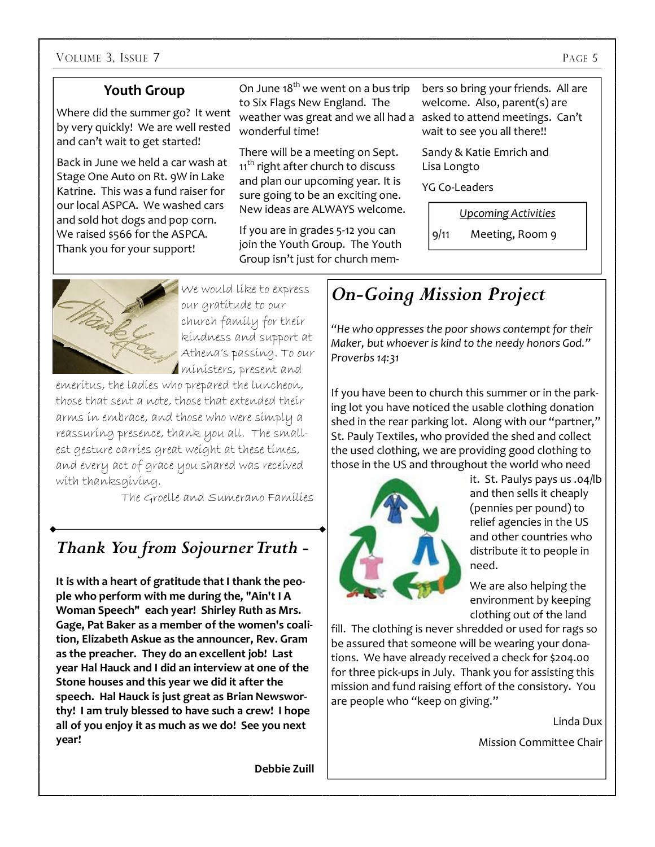#### **Youth Group**

Where did the summer go? It went by very quickly! We are well rested and can't wait to get started!

Back in June we held a car wash at Stage One Auto on Rt. 9W in Lake Katrine. This was a fund raiser for our local ASPCA. We washed cars and sold hot dogs and pop corn. We raised \$566 for the ASPCA. Thank you for your support!

On June  $18^{th}$  we went on a bus trip to Six Flags New England. The weather was great and we all had a asked to attend meetings. Can't wonderful time!

There will be a meeting on Sept. 11<sup>th</sup> right after church to discuss and plan our upcoming year. It is sure going to be an exciting one. New ideas are ALWAYS welcome.

If you are in grades 5-12 you can join the Youth Group. The Youth Group isn't just for church members so bring your friends. All are welcome. Also, parent(s) are wait to see you all there!!

Sandy & Katie Emrich and Lisa Longto

YG Co-Leaders

*Upcoming Activities*

9/11 Meeting, Room 9



We would like to express our gratitude to our church family for their kindness and support at Athena's passing. To our ministers, present and

emeritus, the ladies who prepared the luncheon, those that sent a note, those that extended their arms in embrace, and those who were simply a reassuring presence, thank you all. The smallest gesture carries great weight at these times, and every act of grace you shared was received with thanksgiving.

The Groelle and Sumerano Families

### *Thank You from Sojourner Truth -*

**It is with a heart of gratitude that I thank the people who perform with me during the, "Ain't I A Woman Speech" each year! Shirley Ruth as Mrs. Gage, Pat Baker as a member of the women's coalition, Elizabeth Askue as the announcer, Rev. Gram as the preacher. They do an excellent job! Last year Hal Hauck and I did an interview at one of the Stone houses and this year we did it after the speech. Hal Hauck is just great as Brian Newsworthy! I am truly blessed to have such a crew! I hope all of you enjoy it as much as we do! See you next year!** 

### *On-Going Mission Project*

*"He who oppresses the poor shows contempt for their Maker, but whoever is kind to the needy honors God." Proverbs 14:31* 

If you have been to church this summer or in the parking lot you have noticed the usable clothing donation shed in the rear parking lot. Along with our "partner," St. Pauly Textiles, who provided the shed and collect the used clothing, we are providing good clothing to those in the US and throughout the world who need



it. St. Paulys pays us .04/lb and then sells it cheaply (pennies per pound) to relief agencies in the US and other countries who distribute it to people in need.

We are also helping the environment by keeping clothing out of the land

fill. The clothing is never shredded or used for rags so be assured that someone will be wearing your donations. We have already received a check for \$204.00 for three pick-ups in July. Thank you for assisting this mission and fund raising effort of the consistory. You are people who "keep on giving."

Linda Dux

Mission Committee Chair

**Debbie Zuill**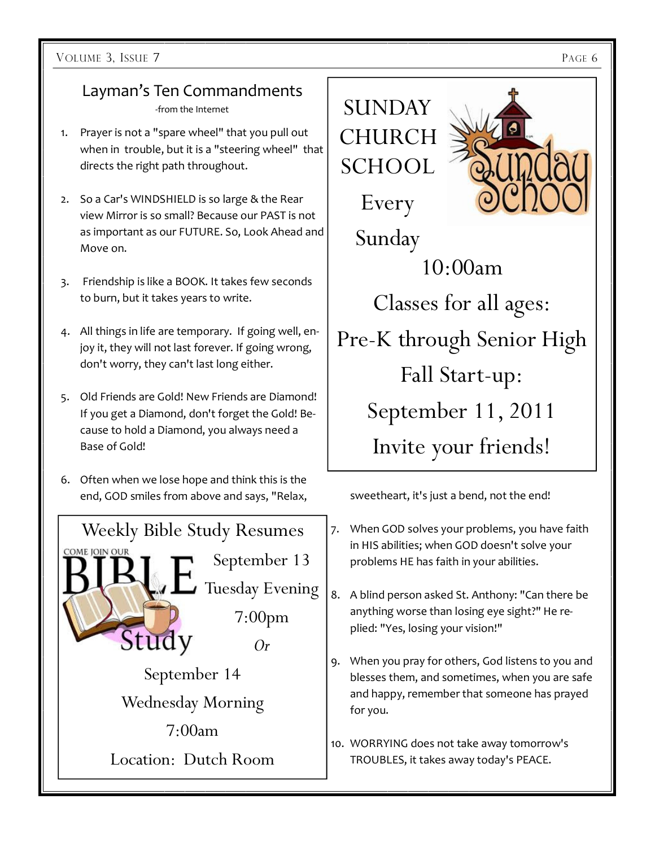### Layman's Ten Commandments

-from the Internet

- 1. Prayer is not a "spare wheel" that you pull out when in trouble, but it is a "steering wheel" that directs the right path throughout.
- 2. So a Car's WINDSHIELD is so large & the Rear view Mirror is so small? Because our PAST is not as important as our FUTURE. So, Look Ahead and Move on.
- 3. Friendship is like a BOOK. It takes few seconds to burn, but it takes years to write.
- 4. All things in life are temporary. If going well, enjoy it, they will not last forever. If going wrong, don't worry, they can't last long either.
- 5. Old Friends are Gold! New Friends are Diamond! If you get a Diamond, don't forget the Gold! Because to hold a Diamond, you always need a Base of Gold!
- 6. Often when we lose hope and think this is the end, GOD smiles from above and says, "Relax, sweetheart, it's just a bend, not the end!





- 7. When GOD solves your problems, you have faith in HIS abilities; when GOD doesn't solve your problems HE has faith in your abilities.
- 8. A blind person asked St. Anthony: "Can there be anything worse than losing eye sight?" He replied: "Yes, losing your vision!"
- 9. When you pray for others, God listens to you and blesses them, and sometimes, when you are safe and happy, remember that someone has prayed for you.
- 10. WORRYING does not take away tomorrow's TROUBLES, it takes away today's PEACE.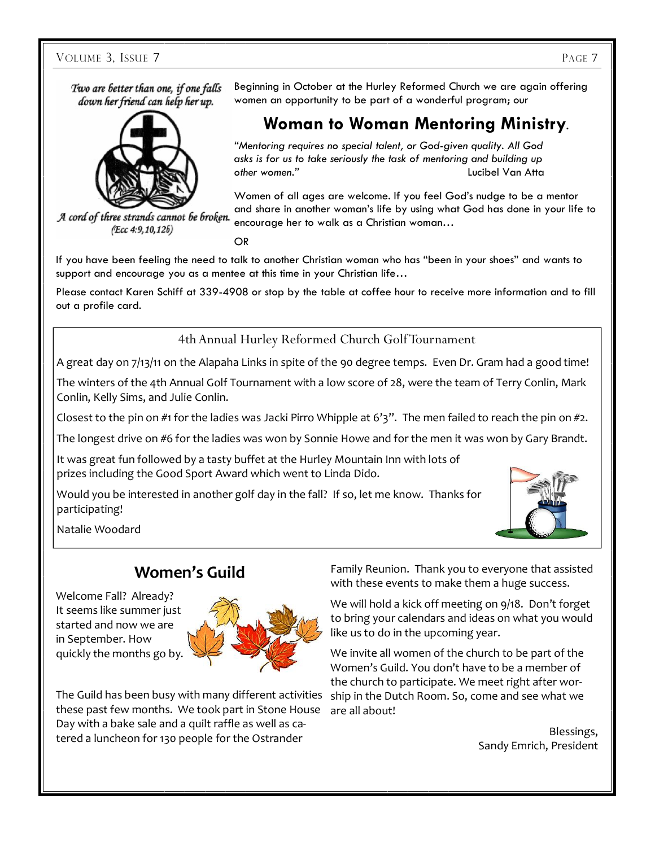VOLUME 3, ISSUE 7 PAGE 7

Two are better than one, if one falls down her friend can help her up.



A cord of three strands cannot be broken. (Ecc 4:9,10,126)

Beginning in October at the Hurley Reformed Church we are again offering women an opportunity to be part of a wonderful program; our

### **Woman to Woman Mentoring Ministry**.

*"Mentoring requires no special talent, or God-given quality. All God asks is for us to take seriously the task of mentoring and building up other women."* Lucibel Van Atta

Women of all ages are welcome. If you feel God's nudge to be a mentor and share in another woman's life by using what God has done in your life to encourage her to walk as a Christian woman…

OR

If you have been feeling the need to talk to another Christian woman who has "been in your shoes" and wants to support and encourage you as a mentee at this time in your Christian life...

Please contact Karen Schiff at 339-4908 or stop by the table at coffee hour to receive more information and to fill out a profile card.

4th Annual Hurley Reformed Church Golf Tournament

A great day on 7/13/11 on the Alapaha Links in spite of the 90 degree temps. Even Dr. Gram had a good time!

The winters of the 4th Annual Golf Tournament with a low score of 28, were the team of Terry Conlin, Mark Conlin, Kelly Sims, and Julie Conlin.

Closest to the pin on #1 for the ladies was Jacki Pirro Whipple at 6'3". The men failed to reach the pin on #2.

The longest drive on #6 for the ladies was won by Sonnie Howe and for the men it was won by Gary Brandt.

It was great fun followed by a tasty buffet at the Hurley Mountain Inn with lots of prizes including the Good Sport Award which went to Linda Dido.

Would you be interested in another golf day in the fall? If so, let me know. Thanks for participating!



Natalie Woodard

### **Women's Guild**

Welcome Fall? Already? It seems like summer just started and now we are in September. How quickly the months go by.



The Guild has been busy with many different activities these past few months. We took part in Stone House Day with a bake sale and a quilt raffle as well as catered a luncheon for 130 people for the Ostrander

Family Reunion. Thank you to everyone that assisted with these events to make them a huge success.

We will hold a kick off meeting on 9/18. Don't forget to bring your calendars and ideas on what you would like us to do in the upcoming year.

We invite all women of the church to be part of the Women's Guild. You don't have to be a member of the church to participate. We meet right after worship in the Dutch Room. So, come and see what we are all about!

> Blessings, Sandy Emrich, President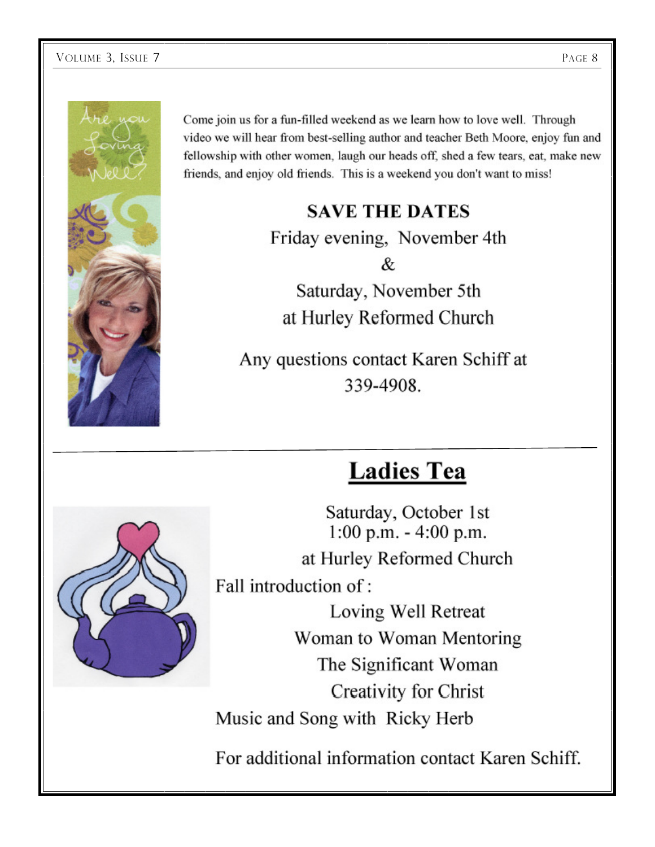

Come join us for a fun-filled weekend as we learn how to love well. Through video we will hear from best-selling author and teacher Beth Moore, enjoy fun and fellowship with other women, laugh our heads off, shed a few tears, eat, make new friends, and enjoy old friends. This is a weekend you don't want to miss!

### **SAVE THE DATES**

Friday evening, November 4th & Saturday, November 5th at Hurley Reformed Church

Any questions contact Karen Schiff at 339-4908.

## **Ladies Tea**

Saturday, October 1st 1:00 p.m. - 4:00 p.m. at Hurley Reformed Church Fall introduction of:

Loving Well Retreat Woman to Woman Mentoring The Significant Woman Creativity for Christ Music and Song with Ricky Herb

For additional information contact Karen Schiff.

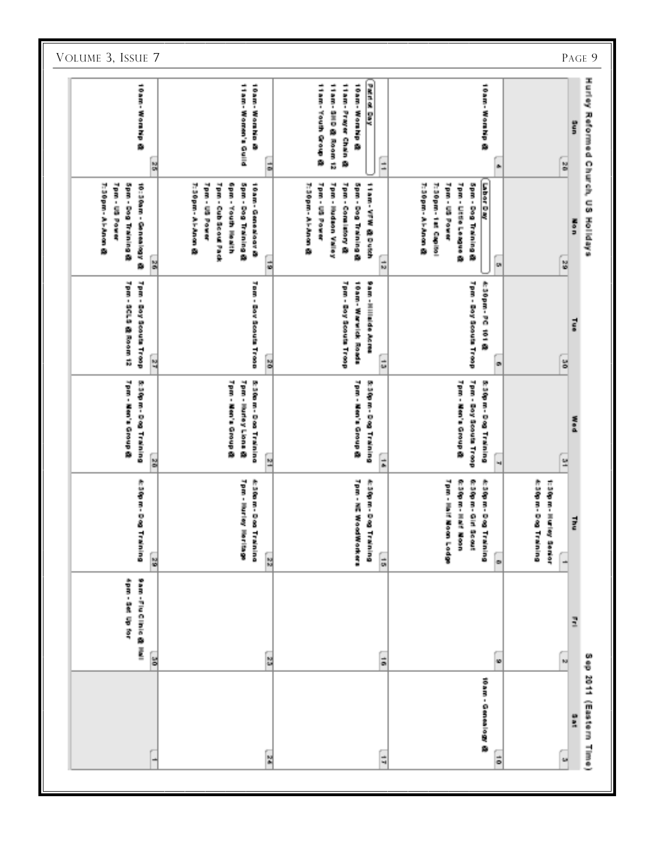| VOLUME 3, ISSUE 7                                                                                          |                                                                                                                                                                                                                                                                                                                                                                                                                                                                                | PAGE 9                                             |
|------------------------------------------------------------------------------------------------------------|--------------------------------------------------------------------------------------------------------------------------------------------------------------------------------------------------------------------------------------------------------------------------------------------------------------------------------------------------------------------------------------------------------------------------------------------------------------------------------|----------------------------------------------------|
| 10 ain - Working                                                                                           | <b>Path of Day</b><br><b>Pilot Monacher Li</b><br>10 and Wombin<br>118日-104号 600台 80<br>11870-1200 00 000 000 10<br>11mm - Fragan Gran @<br><b>South Roading</b><br>10mm - 近om Ho<br>Ξ<br>쒉<br>늷<br>it.                                                                                                                                                                                                                                                                        | Hurley Reformed Church, US<br>Š<br>$\frac{52}{48}$ |
| <b>Mandale Bonner</b><br>Musical - Araban Br<br><b>Solo - Eco Halaiso Sp</b><br>18: 500mm · Gomball Ray Go | <b>Labord Ra</b><br><b>May 189 Power</b><br>当たる) ・ 白石が ほうら 鳥 内容な方<br>50m - Dog Training 森<br>Museum - Aranga @<br><b>MAGE CERTIFIED</b><br>Tom - Hudson Valley<br>Hom-Goaliston, Go<br><b>MANUFACTURE</b><br><b>Tom - Ultim Leasure</b><br><b>Span-Board Palaing</b><br>Thugam - Aranan G<br><b>SOBI-KOOP INSURANCE</b><br>10am - Genediador G<br><b>Solo - Eco Halaiso Sp</b><br>11 am- Ving 路 Dung<br>Thugam - Aranan G<br>Musear-Hangers-<br>l.<br>$\frac{1}{10}$<br>읞<br>릚 | Holldays<br>医療剤<br>$\frac{16}{12}$                 |
| <b>Too - Boy thought Trees</b><br>70m - 00m 0 00 m200m 10                                                  | <b>Moore - Mood Moore Incorp</b><br><b>Tan - India voltage Trees</b><br><b>Moni-Box Mood in Tropo</b><br>作业60mm,19位(1911)路<br><b>Home Manufacturer</b><br><b>WARD - III III III III III III</b><br>$\frac{1}{2}$<br>$\frac{1}{48}$<br>К,<br>œ                                                                                                                                                                                                                                  | in a<br>$\frac{4\pi}{12}$                          |
| 神经学 B1 - B SD Thairing<br>Tpm - Nen's Group &                                                              | <b>MORE - ESSIENTE - ESSIE</b><br><b>S-300 m-Dool Training</b><br>TOR - MSV - GOOD A<br>70m - Manja のPoop 森<br><b>Tpm - Hurley Lions</b><br><b>Text - Men's a coop</b><br>神经管 B - B & Tranipa<br>经保留工业会 网络美国西南<br>$\frac{1}{2}$<br>녴<br>읧<br>щ.                                                                                                                                                                                                                                | 医表面<br>$\frac{\omega}{\omega}$                     |
| 作业者 ヨーモ名<br><b>Building</b>                                                                                | Form - market<br>作出的第三项目<br>70m - 10m 坂の区域の分角の<br><b>MORN-WARRANT - WARRANT</b><br>作业者 ヨー桑玉<br>作业等 ヨーモ名<br>作业等 ヨーモ名<br>作品(P) ヨー三星1<br>化硫酸氢甲酸氢<br>11:50 日 - 三角<br>背景<br>電話 あい<br><b>September</b><br><b>Textures</b><br><b>Training</b><br><b>Distriction</b><br><b>Dunialism</b><br>ing<br>S<br>$\frac{12}{12}$<br>$\frac{1}{16}$<br>$\frac{1}{\alpha}$<br>$\circ$                                                                                                             | Į<br>ein,                                          |
| Sam - File Gilbio 路 Hall<br><b>POST-SK CD 201</b>                                                          | ă<br>$\frac{12}{48}$<br>ă<br>10                                                                                                                                                                                                                                                                                                                                                                                                                                                | ī<br>o<br>Ö<br>KJ.                                 |
|                                                                                                            | 18 am - Ganaal Sagong Ga<br>ia<br>M<br>$\frac{1}{2}$<br>õ                                                                                                                                                                                                                                                                                                                                                                                                                      | 2011 (Eastern Time)<br>警察<br>镧                     |